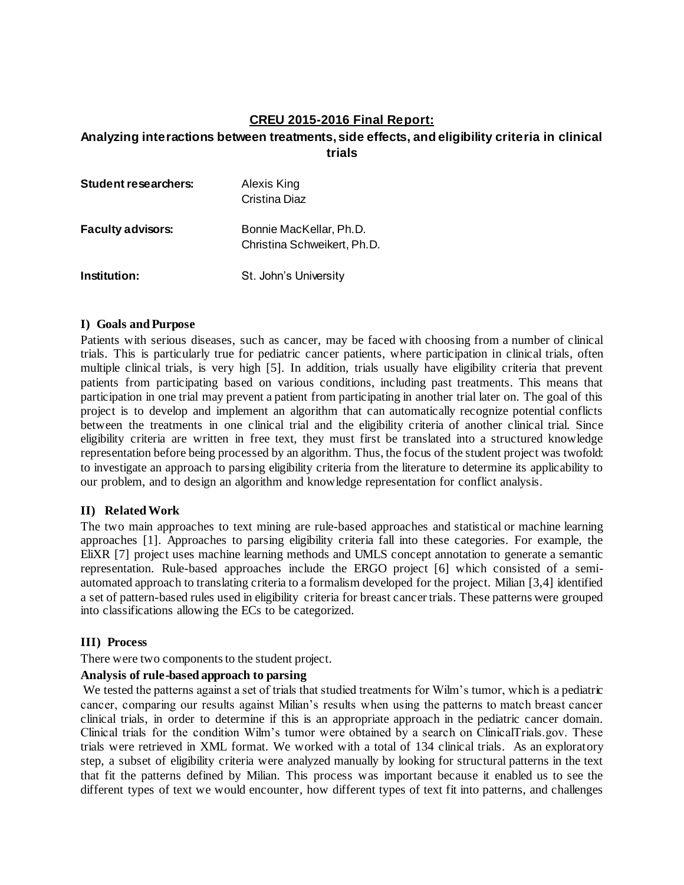# **CREU 2015-2016 Final Report:**

# **Analyzing interactions between treatments, side effects, and eligibility criteria in clinical trials**

| <b>Student researchers:</b> | Alexis King<br>Cristina Diaz                           |
|-----------------------------|--------------------------------------------------------|
| <b>Faculty advisors:</b>    | Bonnie MacKellar, Ph.D.<br>Christina Schweikert, Ph.D. |
| Institution:                | St. John's University                                  |

#### **I) Goals and Purpose**

Patients with serious diseases, such as cancer, may be faced with choosing from a number of clinical trials. This is particularly true for pediatric cancer patients, where participation in clinical trials, often multiple clinical trials, is very high [5]. In addition, trials usually have eligibility criteria that prevent patients from participating based on various conditions, including past treatments. This means that participation in one trial may prevent a patient from participating in another trial later on. The goal of this project is to develop and implement an algorithm that can automatically recognize potential conflicts between the treatments in one clinical trial and the eligibility criteria of another clinical trial. Since eligibility criteria are written in free text, they must first be translated into a structured knowledge representation before being processed by an algorithm. Thus, the focus of the student project was twofold: to investigate an approach to parsing eligibility criteria from the literature to determine its applicability to our problem, and to design an algorithm and knowledge representation for conflict analysis.

### **II) Related Work**

The two main approaches to text mining are rule-based approaches and statistical or machine learning approaches [1]. Approaches to parsing eligibility criteria fall into these categories. For example, the EliXR [7] project uses machine learning methods and UMLS concept annotation to generate a semantic representation. Rule-based approaches include the ERGO project [6] which consisted of a semiautomated approach to translating criteria to a formalism developed for the project. Milian [3,4] identified a set of pattern-based rules used in eligibility criteria for breast cancer trials. These patterns were grouped into classifications allowing the ECs to be categorized.

### **III) Process**

There were two components to the student project.

### **Analysis of rule-based approach to parsing**

We tested the patterns against a set of trials that studied treatments for Wilm's tumor, which is a pediatric cancer, comparing our results against Milian's results when using the patterns to match breast cancer clinical trials, in order to determine if this is an appropriate approach in the pediatric cancer domain. Clinical trials for the condition Wilm's tumor were obtained by a search on ClinicalTrials.gov. These trials were retrieved in XML format. We worked with a total of 134 clinical trials. As an exploratory step, a subset of eligibility criteria were analyzed manually by looking for structural patterns in the text that fit the patterns defined by Milian. This process was important because it enabled us to see the different types of text we would encounter, how different types of text fit into patterns, and challenges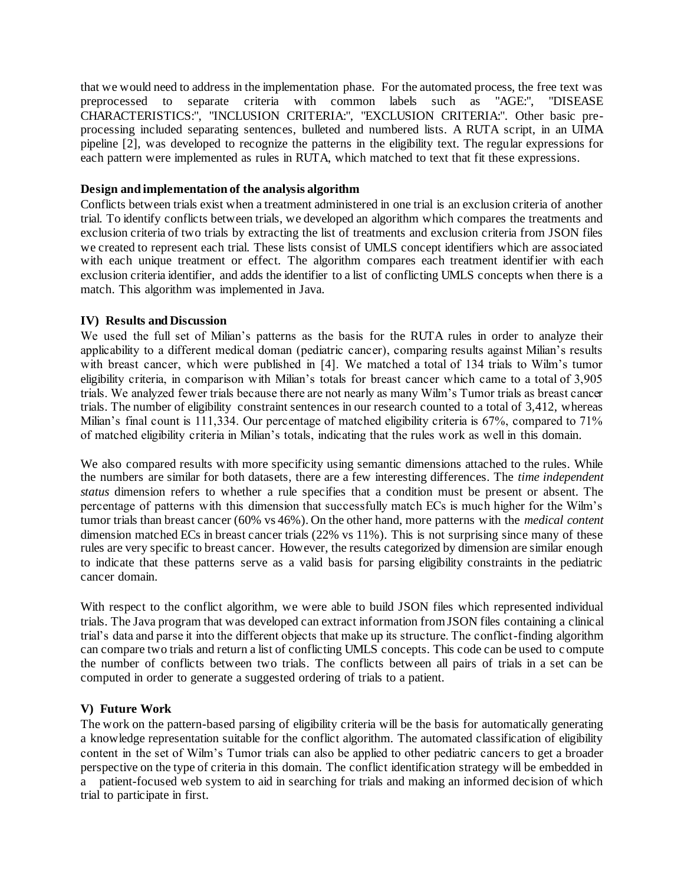that we would need to address in the implementation phase. For the automated process, the free text was preprocessed to separate criteria with common labels such as "AGE:", "DISEASE CHARACTERISTICS:", "INCLUSION CRITERIA:", "EXCLUSION CRITERIA:". Other basic preprocessing included separating sentences, bulleted and numbered lists. A RUTA script, in an UIMA pipeline [2], was developed to recognize the patterns in the eligibility text. The regular expressions for each pattern were implemented as rules in RUTA, which matched to text that fit these expressions.

### **Design and implementation of the analysis algorithm**

Conflicts between trials exist when a treatment administered in one trial is an exclusion criteria of another trial. To identify conflicts between trials, we developed an algorithm which compares the treatments and exclusion criteria of two trials by extracting the list of treatments and exclusion criteria from JSON files we created to represent each trial. These lists consist of UMLS concept identifiers which are associated with each unique treatment or effect. The algorithm compares each treatment identifier with each exclusion criteria identifier, and adds the identifier to a list of conflicting UMLS concepts when there is a match. This algorithm was implemented in Java.

### **IV) Results and Discussion**

We used the full set of Milian's patterns as the basis for the RUTA rules in order to analyze their applicability to a different medical doman (pediatric cancer), comparing results against Milian's results with breast cancer, which were published in [4]. We matched a total of 134 trials to Wilm's tumor eligibility criteria, in comparison with Milian's totals for breast cancer which came to a total of 3,905 trials. We analyzed fewer trials because there are not nearly as many Wilm's Tumor trials as breast cancer trials. The number of eligibility constraint sentences in our research counted to a total of 3,412, whereas Milian's final count is 111,334. Our percentage of matched eligibility criteria is 67%, compared to 71% of matched eligibility criteria in Milian's totals, indicating that the rules work as well in this domain.

We also compared results with more specificity using semantic dimensions attached to the rules. While the numbers are similar for both datasets, there are a few interesting differences. The *time independent status* dimension refers to whether a rule specifies that a condition must be present or absent. The percentage of patterns with this dimension that successfully match ECs is much higher for the Wilm's tumor trials than breast cancer (60% vs 46%). On the other hand, more patterns with the *medical content*  dimension matched ECs in breast cancer trials (22% vs 11%). This is not surprising since many of these rules are very specific to breast cancer. However, the results categorized by dimension are similar enough to indicate that these patterns serve as a valid basis for parsing eligibility constraints in the pediatric cancer domain.

With respect to the conflict algorithm, we were able to build JSON files which represented individual trials. The Java program that was developed can extract information from JSON files containing a clinical trial's data and parse it into the different objects that make up its structure. The conflict-finding algorithm can compare two trials and return a list of conflicting UMLS concepts. This code can be used to c ompute the number of conflicts between two trials. The conflicts between all pairs of trials in a set can be computed in order to generate a suggested ordering of trials to a patient.

## **V) Future Work**

The work on the pattern-based parsing of eligibility criteria will be the basis for automatically generating a knowledge representation suitable for the conflict algorithm. The automated classification of eligibility content in the set of Wilm's Tumor trials can also be applied to other pediatric cancers to get a broader perspective on the type of criteria in this domain. The conflict identification strategy will be embedded in a patient-focused web system to aid in searching for trials and making an informed decision of which trial to participate in first.